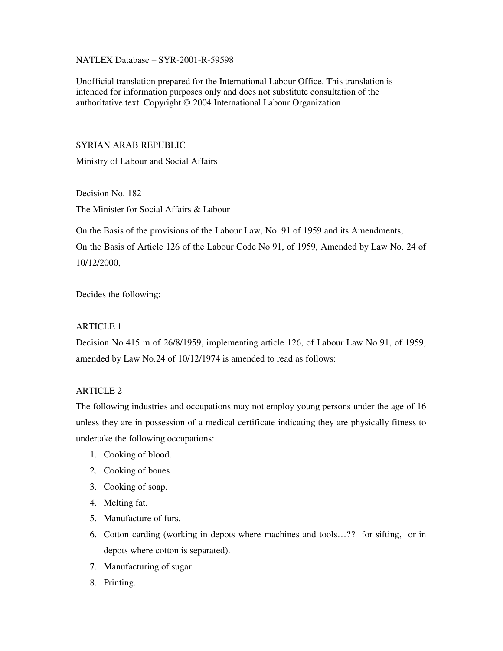### NATLEX Database – SYR-2001-R-59598

Unofficial translation prepared for the International Labour Office. This translation is intended for information purposes only and does not substitute consultation of the authoritative text. Copyright © 2004 International Labour Organization

## SYRIAN ARAB REPUBLIC

Ministry of Labour and Social Affairs

Decision No. 182 The Minister for Social Affairs & Labour

On the Basis of the provisions of the Labour Law, No. 91 of 1959 and its Amendments, On the Basis of Article 126 of the Labour Code No 91, of 1959, Amended by Law No. 24 of 10/12/2000,

Decides the following:

### ARTICLE 1

Decision No 415 m of 26/8/1959, implementing article 126, of Labour Law No 91, of 1959, amended by Law No.24 of 10/12/1974 is amended to read as follows:

# ARTICLE 2

The following industries and occupations may not employ young persons under the age of 16 unless they are in possession of a medical certificate indicating they are physically fitness to undertake the following occupations:

- 1. Cooking of blood.
- 2. Cooking of bones.
- 3. Cooking of soap.
- 4. Melting fat.
- 5. Manufacture of furs.
- 6. Cotton carding (working in depots where machines and tools…?? for sifting, or in depots where cotton is separated).
- 7. Manufacturing of sugar.
- 8. Printing.